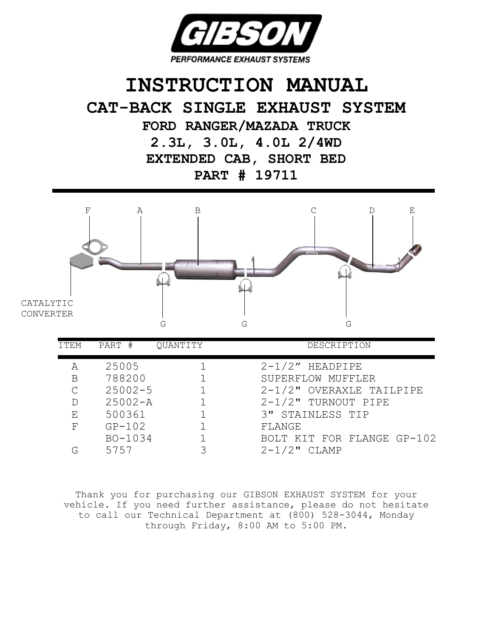

## **INSTRUCTION MANUAL CAT-BACK SINGLE EXHAUST SYSTEM FORD RANGER/MAZADA TRUCK**

**2.3L, 3.0L, 4.0L 2/4WD EXTENDED CAB, SHORT BED PART # 19711**



| ITEM | PART #      | OUANTITY | DESCRIPTION                |
|------|-------------|----------|----------------------------|
| А    | 25005       |          | $2-1/2$ " HEADPIPE         |
| В    | 788200      |          | SUPERFLOW MUFFLER          |
| C    | $25002 - 5$ |          | 2-1/2" OVERAXLE TAILPIPE   |
| D    | $25002 - A$ |          | $2-1/2$ " TURNOUT PIPE     |
| Ε    | 500361      |          | 3" STAINLESS TIP           |
| F    | $GP-102$    |          | FLANGE                     |
|      | BO-1034     |          | BOLT KIT FOR FLANGE GP-102 |
|      | 5757        |          | $2 - 1/2$ "<br>CLAMP       |

Thank you for purchasing our GIBSON EXHAUST SYSTEM for your vehicle. If you need further assistance, please do not hesitate to call our Technical Department at (800) 528-3044, Monday through Friday, 8:00 AM to 5:00 PM.